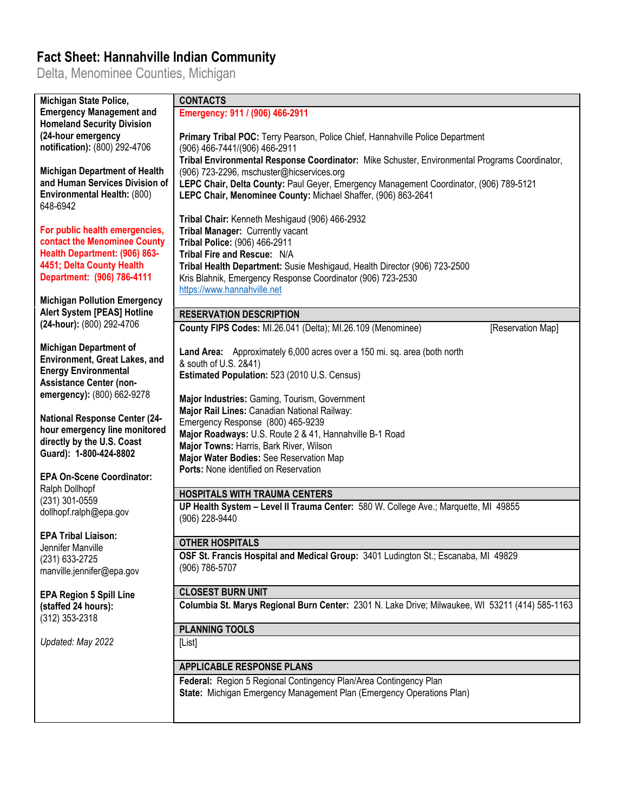## **Fact Sheet: Hannahville Indian Community**

Delta, Menominee Counties, Michigan

| Michigan State Police,                                         | <b>CONTACTS</b>                                                                                      |
|----------------------------------------------------------------|------------------------------------------------------------------------------------------------------|
| <b>Emergency Management and</b>                                | Emergency: 911 / (906) 466-2911                                                                      |
| <b>Homeland Security Division</b>                              |                                                                                                      |
| (24-hour emergency                                             | Primary Tribal POC: Terry Pearson, Police Chief, Hannahville Police Department                       |
| notification): (800) 292-4706                                  | (906) 466-7441/(906) 466-2911                                                                        |
|                                                                | Tribal Environmental Response Coordinator: Mike Schuster, Environmental Programs Coordinator,        |
| <b>Michigan Department of Health</b>                           | (906) 723-2296, mschuster@hicservices.org                                                            |
| and Human Services Division of                                 | LEPC Chair, Delta County: Paul Geyer, Emergency Management Coordinator, (906) 789-5121               |
| Environmental Health: (800)                                    | LEPC Chair, Menominee County: Michael Shaffer, (906) 863-2641                                        |
| 648-6942                                                       |                                                                                                      |
|                                                                | Tribal Chair: Kenneth Meshigaud (906) 466-2932                                                       |
| For public health emergencies,                                 | Tribal Manager: Currently vacant                                                                     |
| contact the Menominee County                                   | Tribal Police: (906) 466-2911                                                                        |
| Health Department: (906) 863-                                  | Tribal Fire and Rescue: N/A                                                                          |
| 4451; Delta County Health                                      | Tribal Health Department: Susie Meshigaud, Health Director (906) 723-2500                            |
| Department: (906) 786-4111                                     | Kris Blahnik, Emergency Response Coordinator (906) 723-2530                                          |
|                                                                | https://www.hannahville.net                                                                          |
| <b>Michigan Pollution Emergency</b>                            |                                                                                                      |
| Alert System [PEAS] Hotline                                    | <b>RESERVATION DESCRIPTION</b>                                                                       |
| (24-hour): (800) 292-4706                                      | County FIPS Codes: MI.26.041 (Delta); MI.26.109 (Menominee)<br>[Reservation Map]                     |
|                                                                |                                                                                                      |
| <b>Michigan Department of</b><br>Environment, Great Lakes, and | Land Area: Approximately 6,000 acres over a 150 mi. sq. area (both north                             |
| <b>Energy Environmental</b>                                    | & south of U.S. 2&41)                                                                                |
| <b>Assistance Center (non-</b>                                 | Estimated Population: 523 (2010 U.S. Census)                                                         |
| emergency): (800) 662-9278                                     |                                                                                                      |
|                                                                | Major Industries: Gaming, Tourism, Government                                                        |
| <b>National Response Center (24-</b>                           | Major Rail Lines: Canadian National Railway:                                                         |
| hour emergency line monitored                                  | Emergency Response (800) 465-9239                                                                    |
| directly by the U.S. Coast                                     | Major Roadways: U.S. Route 2 & 41, Hannahville B-1 Road                                              |
| Guard): 1-800-424-8802                                         | Major Towns: Harris, Bark River, Wilson                                                              |
|                                                                | Major Water Bodies: See Reservation Map                                                              |
| <b>EPA On-Scene Coordinator:</b>                               | Ports: None identified on Reservation                                                                |
| Ralph Dollhopf                                                 |                                                                                                      |
| (231) 301-0559                                                 | <b>HOSPITALS WITH TRAUMA CENTERS</b>                                                                 |
| dollhopf.ralph@epa.gov                                         | UP Health System - Level II Trauma Center: 580 W. College Ave.; Marquette, MI 49855                  |
|                                                                | (906) 228-9440                                                                                       |
| <b>EPA Tribal Liaison:</b>                                     | <b>OTHER HOSPITALS</b>                                                                               |
| Jennifer Manville                                              |                                                                                                      |
| (231) 633-2725                                                 | OSF St. Francis Hospital and Medical Group: 3401 Ludington St.; Escanaba, MI 49829<br>(906) 786-5707 |
| manville.jennifer@epa.gov                                      |                                                                                                      |
|                                                                | <b>CLOSEST BURN UNIT</b>                                                                             |
| <b>EPA Region 5 Spill Line</b>                                 | Columbia St. Marys Regional Burn Center: 2301 N. Lake Drive; Milwaukee, WI 53211 (414) 585-1163      |
| (staffed 24 hours):                                            |                                                                                                      |
| (312) 353-2318                                                 | <b>PLANNING TOOLS</b>                                                                                |
| Updated: May 2022                                              | [List]                                                                                               |
|                                                                |                                                                                                      |
|                                                                | <b>APPLICABLE RESPONSE PLANS</b>                                                                     |
|                                                                | Federal: Region 5 Regional Contingency Plan/Area Contingency Plan                                    |
|                                                                | State: Michigan Emergency Management Plan (Emergency Operations Plan)                                |
|                                                                |                                                                                                      |
|                                                                |                                                                                                      |